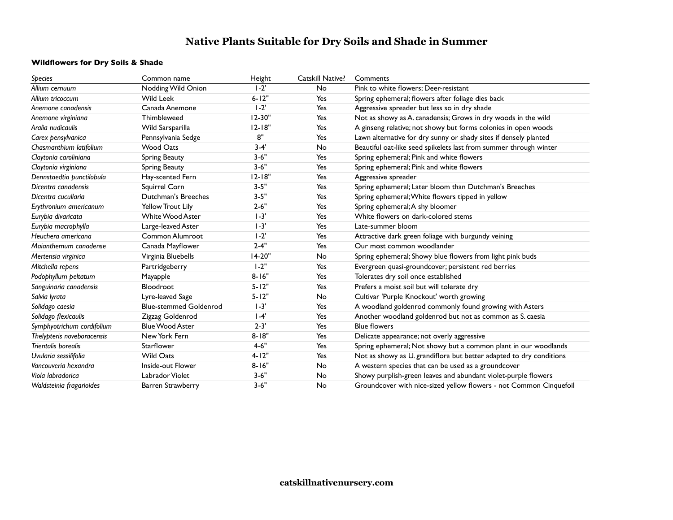# **Native Plants Suitable for Dry Soils and Shade in Summer**

## **Wildflowers for Dry Soils & Shade**

| Species                    | Common name                   | Height     | Catskill Native? | Comments                                                            |
|----------------------------|-------------------------------|------------|------------------|---------------------------------------------------------------------|
| Allium cernuum             | Nodding Wild Onion            | $1-2'$     | <b>No</b>        | Pink to white flowers; Deer-resistant                               |
| Allium tricoccum           | <b>Wild Leek</b>              | $6 - 12"$  | Yes              | Spring ephemeral; flowers after foliage dies back                   |
| Anemone canadensis         | Canada Anemone                | $1-2$      | Yes              | Aggressive spreader but less so in dry shade                        |
| Anemone virginiana         | Thimbleweed                   | $12 - 30"$ | Yes              | Not as showy as A. canadensis; Grows in dry woods in the wild       |
| Aralia nudicaulis          | Wild Sarsparilla              | $12 - 18"$ | Yes              | A ginseng relative; not showy but forms colonies in open woods      |
| Carex pensylvanica         | Pennsylvania Sedge            | 8"         | Yes              | Lawn alternative for dry sunny or shady sites if densely planted    |
| Chasmanthium latifolium    | <b>Wood Oats</b>              | $3 - 4'$   | <b>No</b>        | Beautiful oat-like seed spikelets last from summer through winter   |
| Claytonia caroliniana      | Spring Beauty                 | $3 - 6"$   | Yes              | Spring ephemeral; Pink and white flowers                            |
| Claytonia virginiana       | Spring Beauty                 | $3 - 6"$   | Yes              | Spring ephemeral; Pink and white flowers                            |
| Dennstaedtia punctilobula  | Hay-scented Fern              | $12 - 18"$ | Yes              | Aggressive spreader                                                 |
| Dicentra canadensis        | Squirrel Corn                 | $3 - 5"$   | Yes              | Spring ephemeral; Later bloom than Dutchman's Breeches              |
| Dicentra cucullaria        | Dutchman's Breeches           | $3 - 5"$   | Yes              | Spring ephemeral; White flowers tipped in yellow                    |
| Erythronium americanum     | <b>Yellow Trout Lily</b>      | $2 - 6"$   | Yes              | Spring ephemeral; A shy bloomer                                     |
| Eurybia divaricata         | <b>White Wood Aster</b>       | $1 - 3'$   | Yes              | White flowers on dark-colored stems                                 |
| Eurybia macrophylla        | Large-leaved Aster            | $1 - 3'$   | Yes              | Late-summer bloom                                                   |
| Heuchera americana         | Common Alumroot               | $1 - 2'$   | Yes              | Attractive dark green foliage with burgundy veining                 |
| Maianthemum canadense      | Canada Mayflower              | $2 - 4"$   | Yes              | Our most common woodlander                                          |
| Mertensia virginica        | Virginia Bluebells            | 14-20"     | No               | Spring ephemeral; Showy blue flowers from light pink buds           |
| Mitchella repens           | Partridgeberry                | $1 - 2"$   | Yes              | Evergreen quasi-groundcover; persistent red berries                 |
| Podophyllum peltatum       | Mayapple                      | $8 - 16"$  | Yes              | Tolerates dry soil once established                                 |
| Sanguinaria canadensis     | Bloodroot                     | $5 - 12"$  | Yes              | Prefers a moist soil but will tolerate dry                          |
| Salvia lyrata              | Lyre-leaved Sage              | $5 - 12"$  | No               | Cultivar 'Purple Knockout' worth growing                            |
| Solidago caesia            | <b>Blue-stemmed Goldenrod</b> | $1 - 3'$   | Yes              | A woodland goldenrod commonly found growing with Asters             |
| Solidago flexicaulis       | Zigzag Goldenrod              | $1-4'$     | Yes              | Another woodland goldenrod but not as common as S. caesia           |
| Symphyotrichum cordifolium | <b>Blue Wood Aster</b>        | $2 - 3'$   | Yes              | <b>Blue flowers</b>                                                 |
| Thelypteris noveboracensis | New York Fern                 | $8 - 18"$  | Yes              | Delicate appearance; not overly aggressive                          |
| Trientalis borealis        | <b>Starflower</b>             | $4 - 6"$   | Yes              | Spring ephemeral; Not showy but a common plant in our woodlands     |
| Uvularia sessilifolia      | Wild Oats                     | $4 - 12"$  | Yes              | Not as showy as U. grandiflora but better adapted to dry conditions |
| Vancouveria hexandra       | Inside-out Flower             | $8 - 16"$  | No               | A western species that can be used as a groundcover                 |
| Viola labradorica          | Labrador Violet               | $3 - 6"$   | No               | Showy purplish-green leaves and abundant violet-purple flowers      |
| Waldsteinia fragarioides   | <b>Barren Strawberry</b>      | $3 - 6"$   | <b>No</b>        | Groundcover with nice-sized yellow flowers - not Common Cinquefoil  |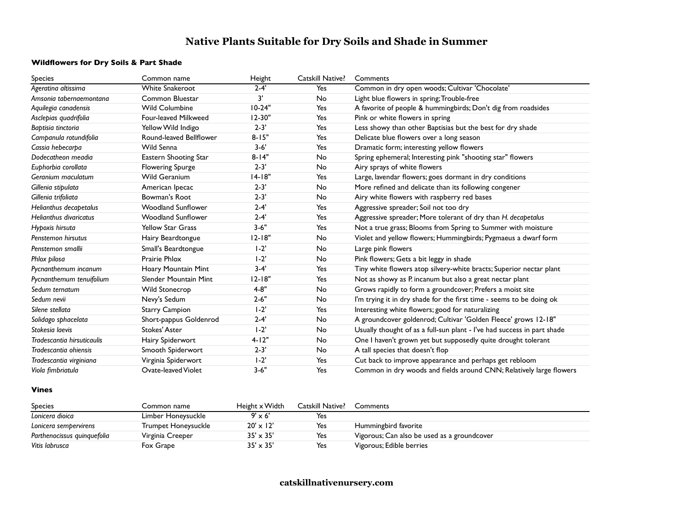## **Native Plants Suitable for Dry Soils and Shade in Summer**

### **Wildflowers for Dry Soils & Part Shade**

| Species                       | Common name               | Height     | Catskill Native? | Comments                                                                |
|-------------------------------|---------------------------|------------|------------------|-------------------------------------------------------------------------|
| Ageratina altissima           | <b>White Snakeroot</b>    | $2 - 4'$   | Yes              | Common in dry open woods; Cultivar 'Chocolate'                          |
| Amsonia tabernaemontana       | Common Bluestar           | 3'         | No               | Light blue flowers in spring; Trouble-free                              |
| Aquilegia canadensis          | <b>Wild Columbine</b>     | $10-24"$   | Yes              | A favorite of people & hummingbirds; Don't dig from roadsides           |
| Asclepias quadrifolia         | Four-leaved Milkweed      | $12 - 30"$ | Yes              | Pink or white flowers in spring                                         |
| Baptisia tinctoria            | Yellow Wild Indigo        | $2 - 3'$   | Yes              | Less showy than other Baptisias but the best for dry shade              |
| Campanula rotundifolia        | Round-leaved Bellflower   | $8 - 15"$  | Yes              | Delicate blue flowers over a long season                                |
| Cassia hebecarpa              | Wild Senna                | $3 - 6'$   | Yes              | Dramatic form; interesting yellow flowers                               |
| Dodecatheon meadia            | Eastern Shooting Star     | $8 - 14"$  | No               | Spring ephemeral; Interesting pink "shooting star" flowers              |
| Euphorbia corollata           | <b>Flowering Spurge</b>   | $2 - 3'$   | No               | Airy sprays of white flowers                                            |
| Geranium maculatum            | Wild Geranium             | $14-18"$   | Yes              | Large, lavendar flowers; goes dormant in dry conditions                 |
| Gillenia stibulata            | American Ipecac           | $2 - 3'$   | No               | More refined and delicate than its following congener                   |
| Gillenia trifoliata           | Bowman's Root             | $2 - 3'$   | No               | Airy white flowers with raspberry red bases                             |
| Helianthus decapetalus        | <b>Woodland Sunflower</b> | $2 - 4'$   | Yes              | Aggressive spreader; Soil not too dry                                   |
| <b>Helianthus divaricatus</b> | <b>Woodland Sunflower</b> | $2 - 4'$   | Yes              | Aggressive spreader; More tolerant of dry than H. decapetalus           |
| Hypoxis hirsuta               | <b>Yellow Star Grass</b>  | $3 - 6"$   | Yes              | Not a true grass; Blooms from Spring to Summer with moisture            |
| Penstemon hirsutus            | Hairy Beardtongue         | $12 - 18"$ | No               | Violet and yellow flowers; Hummingbirds; Pygmaeus a dwarf form          |
| Penstemon smallii             | Small's Beardtongue       | $1-2'$     | No               | Large pink flowers                                                      |
| Phlox pilosa                  | <b>Prairie Phlox</b>      | $1 - 2'$   | No               | Pink flowers; Gets a bit leggy in shade                                 |
| Pycnanthemum incanum          | Hoary Mountain Mint       | $3 - 4'$   | Yes              | Tiny white flowers atop silvery-white bracts; Superior nectar plant     |
| Pycnanthemum tenuifolium      | Slender Mountain Mint     | $12 - 18"$ | Yes              | Not as showy as P incanum but also a great nectar plant                 |
| Sedum ternatum                | <b>Wild Stonecrop</b>     | $4 - 8"$   | No               | Grows rapidly to form a groundcover; Prefers a moist site               |
| Sedum nevii                   | Nevy's Sedum              | $2 - 6"$   | No               | I'm trying it in dry shade for the first time - seems to be doing ok    |
| Silene stellata               | <b>Starry Campion</b>     | $1 - 2'$   | Yes              | Interesting white flowers; good for naturalizing                        |
| Solidago sphacelata           | Short-pappus Goldenrod    | $2 - 4'$   | No               | A groundcover goldenrod; Cultivar 'Golden Fleece' grows 12-18"          |
| Stokesia laevis               | <b>Stokes' Aster</b>      | $1-2$      | No               | Usually thought of as a full-sun plant - I've had success in part shade |
| Tradescantia hirsuticaulis    | Hairy Spiderwort          | $4 - 12"$  | No               | One I haven't grown yet but supposedly quite drought tolerant           |
| Tradescantia ohiensis         | Smooth Spiderwort         | $2 - 3'$   | No               | A tall species that doesn't flop                                        |
| Tradescantia virginiana       | Virginia Spiderwort       | $1-2$      | Yes              | Cut back to improve appearance and perhaps get rebloom                  |
| Viola fimbriatula             | Ovate-leaved Violet       | $3 - 6"$   | Yes              | Common in dry woods and fields around CNN; Relatively large flowers     |

#### **Vines**

| <b>Species</b>              | Common name         | Height x Width   | Catskill Native? | Comments                                    |
|-----------------------------|---------------------|------------------|------------------|---------------------------------------------|
| Lonicera dioica             | Limber Honeysuckle  | $9' \times 6'$   | Yes              |                                             |
| Lonicera sempervirens       | Trumpet Honeysuckle | $20' \times 12'$ | Yes              | Hummingbird favorite                        |
| Parthenocissus guinguefolia | Virginia Creeper    | $35' \times 35'$ | Yes              | Vigorous; Can also be used as a groundcover |
| Vitis labrusca              | Fox Grape           | $35' \times 35'$ | Yes              | Vigorous; Edible berries                    |

**catskillnativenursery.com**